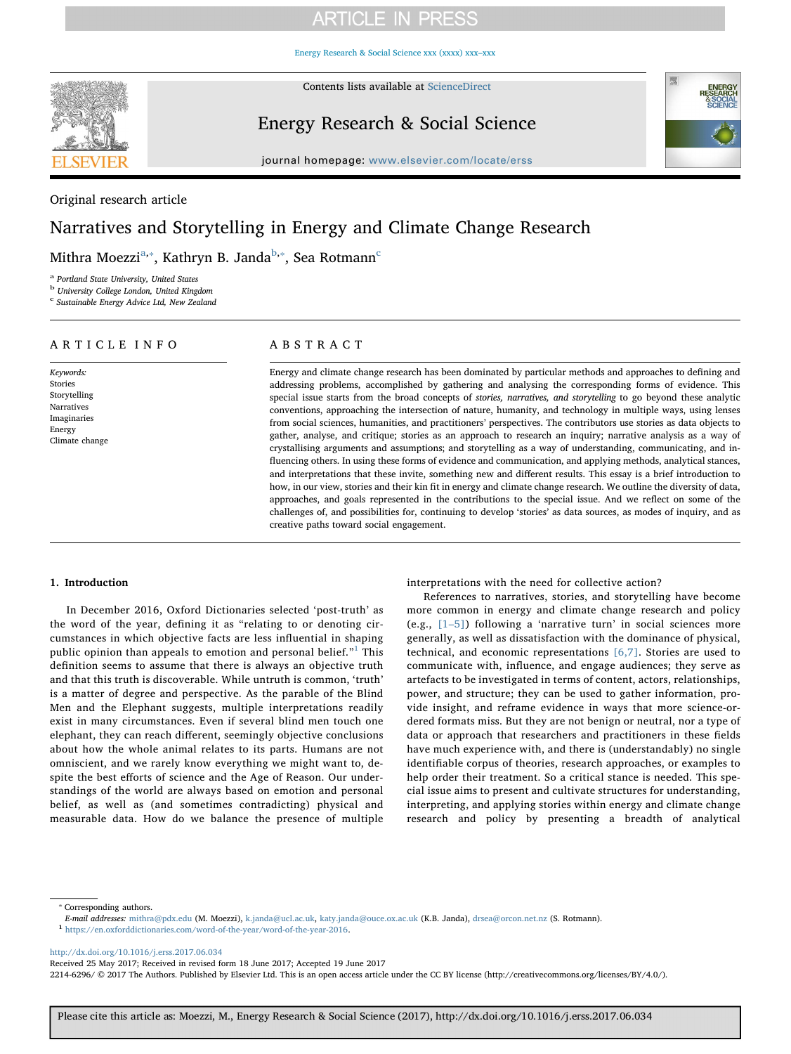# **ARTICLE IN PRESS**

[Energy Research & Social Science xxx \(xxxx\) xxx–xxx](http://dx.doi.org/10.1016/j.erss.2017.06.034)



Contents lists available at [ScienceDirect](http://www.sciencedirect.com/science/journal/22146296)

# Energy Research & Social Science



journal homepage: [www.elsevier.com/locate/erss](http://www.elsevier.com/locate/erss)

# Original research article

# Narratives and Storytelling in Energy and Climate Change Research

Mithra Moezzi $^{\mathrm{a},*}$ , Kathryn B. Janda $^{\mathrm{b},*}$ , Sea Rotmann $^{\mathrm{c}}$  $^{\mathrm{c}}$  $^{\mathrm{c}}$ 

<span id="page-0-0"></span><sup>a</sup> Portland State University, United States

<span id="page-0-2"></span><sup>b</sup> University College London, United Kingdom

<span id="page-0-3"></span><sup>c</sup> Sustainable Energy Advice Ltd, New Zealand

# ARTICLE INFO

Keywords: Stories Storytelling Narratives Imaginaries Energy Climate change

# ABSTRACT

Energy and climate change research has been dominated by particular methods and approaches to defining and addressing problems, accomplished by gathering and analysing the corresponding forms of evidence. This special issue starts from the broad concepts of stories, narratives, and storytelling to go beyond these analytic conventions, approaching the intersection of nature, humanity, and technology in multiple ways, using lenses from social sciences, humanities, and practitioners' perspectives. The contributors use stories as data objects to gather, analyse, and critique; stories as an approach to research an inquiry; narrative analysis as a way of crystallising arguments and assumptions; and storytelling as a way of understanding, communicating, and influencing others. In using these forms of evidence and communication, and applying methods, analytical stances, and interpretations that these invite, something new and different results. This essay is a brief introduction to how, in our view, stories and their kin fit in energy and climate change research. We outline the diversity of data, approaches, and goals represented in the contributions to the special issue. And we reflect on some of the challenges of, and possibilities for, continuing to develop 'stories' as data sources, as modes of inquiry, and as creative paths toward social engagement.

## 1. Introduction

In December 2016, Oxford Dictionaries selected 'post-truth' as the word of the year, defining it as "relating to or denoting circumstances in which objective facts are less influential in shaping public opinion than appeals to emotion and personal belief. $1^1$  $1^1$  This definition seems to assume that there is always an objective truth and that this truth is discoverable. While untruth is common, 'truth' is a matter of degree and perspective. As the parable of the Blind Men and the Elephant suggests, multiple interpretations readily exist in many circumstances. Even if several blind men touch one elephant, they can reach different, seemingly objective conclusions about how the whole animal relates to its parts. Humans are not omniscient, and we rarely know everything we might want to, despite the best efforts of science and the Age of Reason. Our understandings of the world are always based on emotion and personal belief, as well as (and sometimes contradicting) physical and measurable data. How do we balance the presence of multiple interpretations with the need for collective action?

References to narratives, stories, and storytelling have become more common in energy and climate change research and policy (e.g., [1–[5\]](#page-8-0)) following a 'narrative turn' in social sciences more generally, as well as dissatisfaction with the dominance of physical, technical, and economic representations [\[6,7\].](#page-8-1) Stories are used to communicate with, influence, and engage audiences; they serve as artefacts to be investigated in terms of content, actors, relationships, power, and structure; they can be used to gather information, provide insight, and reframe evidence in ways that more science-ordered formats miss. But they are not benign or neutral, nor a type of data or approach that researchers and practitioners in these fields have much experience with, and there is (understandably) no single identifiable corpus of theories, research approaches, or examples to help order their treatment. So a critical stance is needed. This special issue aims to present and cultivate structures for understanding, interpreting, and applying stories within energy and climate change research and policy by presenting a breadth of analytical

<span id="page-0-1"></span>⁎ Corresponding authors.

 $E\!-\!mail$ addresses: [mithra@pdx.edu](mailto:mithra@pdx.edu) (M. Moezzi), [k.janda@ucl.ac.uk](mailto:k.janda@ucl.ac.uk), [katy.janda@ouce.ox.ac.uk](mailto:katy.janda@ouce.ox.ac.uk) (K.B. Janda), [drsea@orcon.net.nz](mailto:drsea@orcon.net.nz) (S. Rotmann). $^1$ <https://en.oxforddictionaries.com/word-of-the-year/word-of-the-year-2016>.

<span id="page-0-4"></span>

<http://dx.doi.org/10.1016/j.erss.2017.06.034>

Received 25 May 2017; Received in revised form 18 June 2017; Accepted 19 June 2017

2214-6296/ © 2017 The Authors. Published by Elsevier Ltd. This is an open access article under the CC BY license (http://creativecommons.org/licenses/BY/4.0/).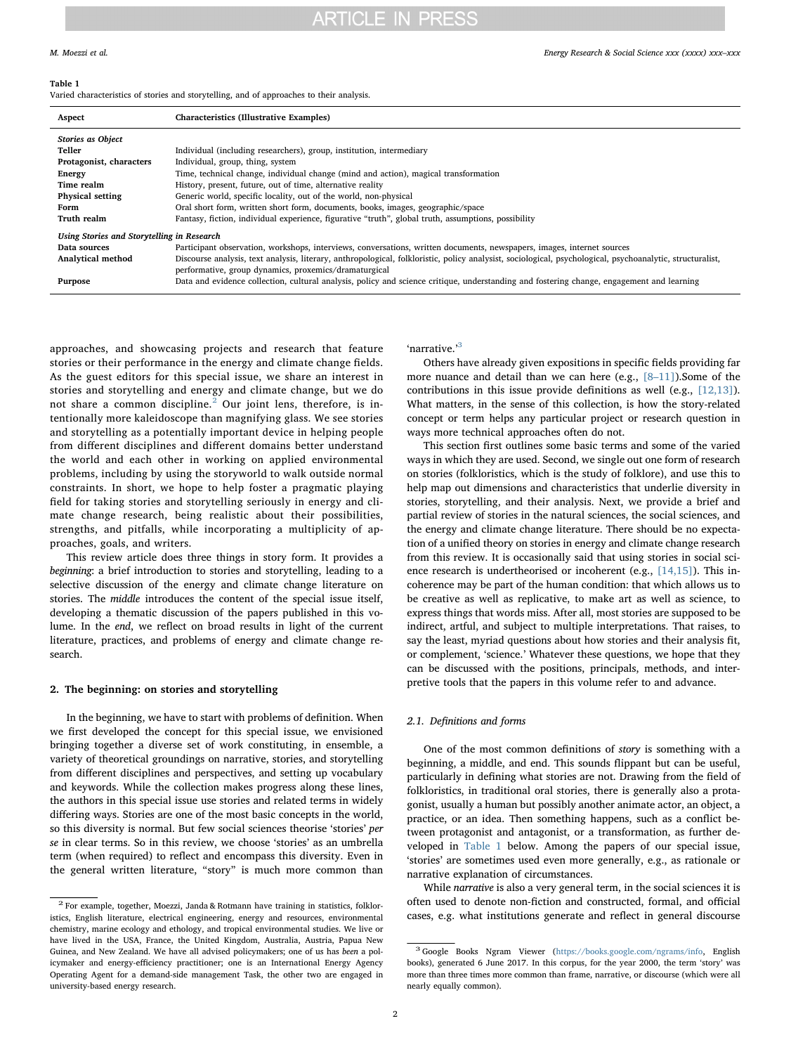#### <span id="page-1-2"></span>Table 1

Varied characteristics of stories and storytelling, and of approaches to their analysis.

| Aspect                                     | <b>Characteristics (Illustrative Examples)</b>                                                                                                                                                                     |
|--------------------------------------------|--------------------------------------------------------------------------------------------------------------------------------------------------------------------------------------------------------------------|
| <b>Stories as Object</b>                   |                                                                                                                                                                                                                    |
| Teller                                     | Individual (including researchers), group, institution, intermediary                                                                                                                                               |
| Protagonist, characters                    | Individual, group, thing, system                                                                                                                                                                                   |
| <b>Energy</b>                              | Time, technical change, individual change (mind and action), magical transformation                                                                                                                                |
| Time realm                                 | History, present, future, out of time, alternative reality                                                                                                                                                         |
| <b>Physical setting</b>                    | Generic world, specific locality, out of the world, non-physical                                                                                                                                                   |
| Form                                       | Oral short form, written short form, documents, books, images, geographic/space                                                                                                                                    |
| Truth realm                                | Fantasy, fiction, individual experience, figurative "truth", global truth, assumptions, possibility                                                                                                                |
| Using Stories and Storytelling in Research |                                                                                                                                                                                                                    |
| Data sources                               | Participant observation, workshops, interviews, conversations, written documents, newspapers, images, internet sources                                                                                             |
| Analytical method                          | Discourse analysis, text analysis, literary, anthropological, folkloristic, policy analysist, sociological, psychological, psychoanalytic, structuralist,<br>performative, group dynamics, proxemics/dramaturgical |
| Purpose                                    | Data and evidence collection, cultural analysis, policy and science critique, understanding and fostering change, engagement and learning                                                                          |

approaches, and showcasing projects and research that feature stories or their performance in the energy and climate change fields. As the guest editors for this special issue, we share an interest in stories and storytelling and energy and climate change, but we do not share a common discipline.<sup>[2](#page-1-0)</sup> Our joint lens, therefore, is intentionally more kaleidoscope than magnifying glass. We see stories and storytelling as a potentially important device in helping people from different disciplines and different domains better understand the world and each other in working on applied environmental problems, including by using the storyworld to walk outside normal constraints. In short, we hope to help foster a pragmatic playing field for taking stories and storytelling seriously in energy and climate change research, being realistic about their possibilities, strengths, and pitfalls, while incorporating a multiplicity of approaches, goals, and writers.

This review article does three things in story form. It provides a beginning: a brief introduction to stories and storytelling, leading to a selective discussion of the energy and climate change literature on stories. The middle introduces the content of the special issue itself, developing a thematic discussion of the papers published in this volume. In the end, we reflect on broad results in light of the current literature, practices, and problems of energy and climate change research.

#### 2. The beginning: on stories and storytelling

In the beginning, we have to start with problems of definition. When we first developed the concept for this special issue, we envisioned bringing together a diverse set of work constituting, in ensemble, a variety of theoretical groundings on narrative, stories, and storytelling from different disciplines and perspectives, and setting up vocabulary and keywords. While the collection makes progress along these lines, the authors in this special issue use stories and related terms in widely differing ways. Stories are one of the most basic concepts in the world, so this diversity is normal. But few social sciences theorise 'stories' per se in clear terms. So in this review, we choose 'stories' as an umbrella term (when required) to reflect and encompass this diversity. Even in the general written literature, "story" is much more common than

'narrative.'<sup>[3](#page-1-1)</sup>

Others have already given expositions in specific fields providing far more nuance and detail than we can here (e.g., [8–[11\]\)](#page-8-2).Some of the contributions in this issue provide definitions as well (e.g., [\[12,13\]](#page-8-3)). What matters, in the sense of this collection, is how the story-related concept or term helps any particular project or research question in ways more technical approaches often do not.

This section first outlines some basic terms and some of the varied ways in which they are used. Second, we single out one form of research on stories (folkloristics, which is the study of folklore), and use this to help map out dimensions and characteristics that underlie diversity in stories, storytelling, and their analysis. Next, we provide a brief and partial review of stories in the natural sciences, the social sciences, and the energy and climate change literature. There should be no expectation of a unified theory on stories in energy and climate change research from this review. It is occasionally said that using stories in social science research is undertheorised or incoherent (e.g., [\[14,15\]\)](#page-8-4). This incoherence may be part of the human condition: that which allows us to be creative as well as replicative, to make art as well as science, to express things that words miss. After all, most stories are supposed to be indirect, artful, and subject to multiple interpretations. That raises, to say the least, myriad questions about how stories and their analysis fit, or complement, 'science.' Whatever these questions, we hope that they can be discussed with the positions, principals, methods, and interpretive tools that the papers in this volume refer to and advance.

### 2.1. Definitions and forms

One of the most common definitions of story is something with a beginning, a middle, and end. This sounds flippant but can be useful, particularly in defining what stories are not. Drawing from the field of folkloristics, in traditional oral stories, there is generally also a protagonist, usually a human but possibly another animate actor, an object, a practice, or an idea. Then something happens, such as a conflict between protagonist and antagonist, or a transformation, as further developed in [Table 1](#page-1-2) below. Among the papers of our special issue, 'stories' are sometimes used even more generally, e.g., as rationale or narrative explanation of circumstances.

While narrative is also a very general term, in the social sciences it is often used to denote non-fiction and constructed, formal, and official cases, e.g. what institutions generate and reflect in general discourse

<span id="page-1-0"></span> $2$  For example, together, Moezzi, Janda & Rotmann have training in statistics, folkloristics, English literature, electrical engineering, energy and resources, environmental chemistry, marine ecology and ethology, and tropical environmental studies. We live or have lived in the USA, France, the United Kingdom, Australia, Austria, Papua New Guinea, and New Zealand. We have all advised policymakers; one of us has been a policymaker and energy-efficiency practitioner; one is an International Energy Agency Operating Agent for a demand-side management Task, the other two are engaged in university-based energy research.

<span id="page-1-1"></span><sup>3</sup> Google Books Ngram Viewer (<https://books.google.com/ngrams/info>, English books), generated 6 June 2017. In this corpus, for the year 2000, the term 'story' was more than three times more common than frame, narrative, or discourse (which were all nearly equally common).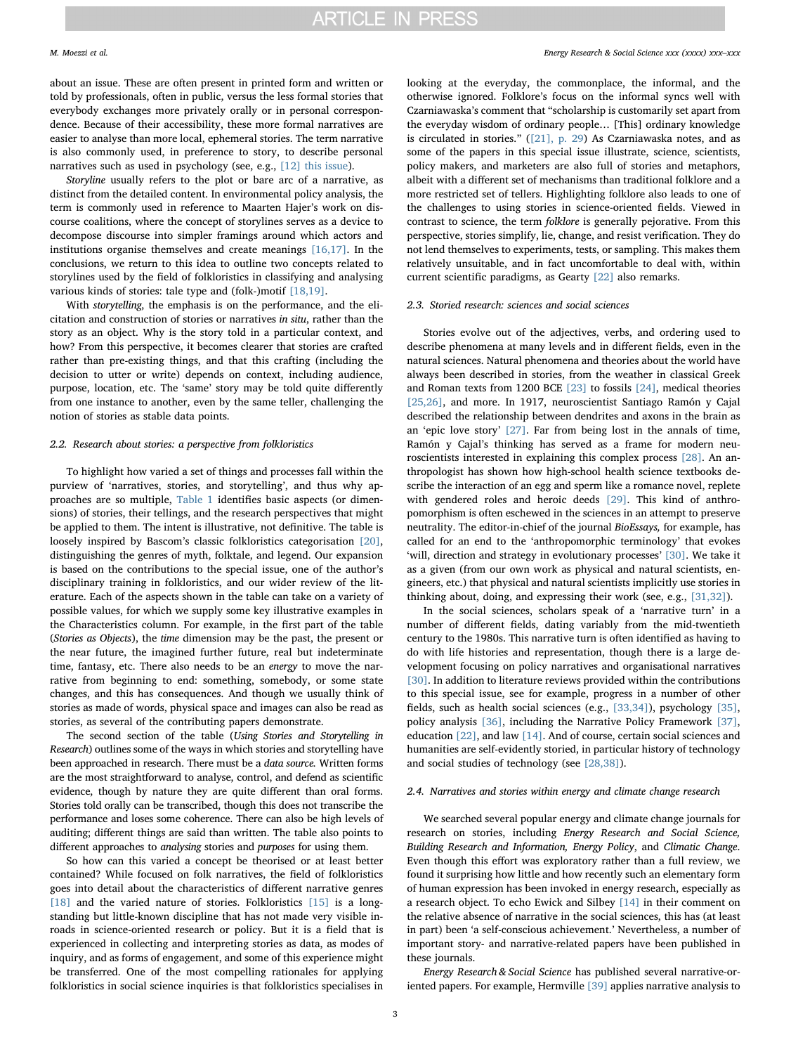about an issue. These are often present in printed form and written or told by professionals, often in public, versus the less formal stories that everybody exchanges more privately orally or in personal correspondence. Because of their accessibility, these more formal narratives are easier to analyse than more local, ephemeral stories. The term narrative is also commonly used, in preference to story, to describe personal narratives such as used in psychology (see, e.g., [\[12\] this issue](#page-8-3)).

Storyline usually refers to the plot or bare arc of a narrative, as distinct from the detailed content. In environmental policy analysis, the term is commonly used in reference to Maarten Hajer's work on discourse coalitions, where the concept of storylines serves as a device to decompose discourse into simpler framings around which actors and institutions organise themselves and create meanings [\[16,17\]](#page-8-5). In the conclusions, we return to this idea to outline two concepts related to storylines used by the field of folkloristics in classifying and analysing various kinds of stories: tale type and (folk-)motif [\[18,19\].](#page-8-6)

With storytelling, the emphasis is on the performance, and the elicitation and construction of stories or narratives in situ, rather than the story as an object. Why is the story told in a particular context, and how? From this perspective, it becomes clearer that stories are crafted rather than pre-existing things, and that this crafting (including the decision to utter or write) depends on context, including audience, purpose, location, etc. The 'same' story may be told quite differently from one instance to another, even by the same teller, challenging the notion of stories as stable data points.

#### 2.2. Research about stories: a perspective from folkloristics

To highlight how varied a set of things and processes fall within the purview of 'narratives, stories, and storytelling', and thus why approaches are so multiple, [Table 1](#page-1-2) identifies basic aspects (or dimensions) of stories, their tellings, and the research perspectives that might be applied to them. The intent is illustrative, not definitive. The table is loosely inspired by Bascom's classic folkloristics categorisation [\[20\]](#page-8-7), distinguishing the genres of myth, folktale, and legend. Our expansion is based on the contributions to the special issue, one of the author's disciplinary training in folkloristics, and our wider review of the literature. Each of the aspects shown in the table can take on a variety of possible values, for which we supply some key illustrative examples in the Characteristics column. For example, in the first part of the table (Stories as Objects), the time dimension may be the past, the present or the near future, the imagined further future, real but indeterminate time, fantasy, etc. There also needs to be an energy to move the narrative from beginning to end: something, somebody, or some state changes, and this has consequences. And though we usually think of stories as made of words, physical space and images can also be read as stories, as several of the contributing papers demonstrate.

The second section of the table (Using Stories and Storytelling in Research) outlines some of the ways in which stories and storytelling have been approached in research. There must be a data source. Written forms are the most straightforward to analyse, control, and defend as scientific evidence, though by nature they are quite different than oral forms. Stories told orally can be transcribed, though this does not transcribe the performance and loses some coherence. There can also be high levels of auditing; different things are said than written. The table also points to different approaches to analysing stories and purposes for using them.

So how can this varied a concept be theorised or at least better contained? While focused on folk narratives, the field of folkloristics goes into detail about the characteristics of different narrative genres [\[18\]](#page-8-6) and the varied nature of stories. Folkloristics [\[15\]](#page-8-8) is a longstanding but little-known discipline that has not made very visible inroads in science-oriented research or policy. But it is a field that is experienced in collecting and interpreting stories as data, as modes of inquiry, and as forms of engagement, and some of this experience might be transferred. One of the most compelling rationales for applying folkloristics in social science inquiries is that folkloristics specialises in looking at the everyday, the commonplace, the informal, and the otherwise ignored. Folklore's focus on the informal syncs well with Czarniawaska's comment that "scholarship is customarily set apart from the everyday wisdom of ordinary people… [This] ordinary knowledge is circulated in stories." [\(\[21\], p. 29\)](#page-8-9) As Czarniawaska notes, and as some of the papers in this special issue illustrate, science, scientists, policy makers, and marketers are also full of stories and metaphors, albeit with a different set of mechanisms than traditional folklore and a more restricted set of tellers. Highlighting folklore also leads to one of the challenges to using stories in science-oriented fields. Viewed in contrast to science, the term folklore is generally pejorative. From this perspective, stories simplify, lie, change, and resist verification. They do not lend themselves to experiments, tests, or sampling. This makes them relatively unsuitable, and in fact uncomfortable to deal with, within current scientific paradigms, as Gearty [\[22\]](#page-8-10) also remarks.

### 2.3. Storied research: sciences and social sciences

Stories evolve out of the adjectives, verbs, and ordering used to describe phenomena at many levels and in different fields, even in the natural sciences. Natural phenomena and theories about the world have always been described in stories, from the weather in classical Greek and Roman texts from 1200 BCE [\[23\]](#page-8-11) to fossils [\[24\]](#page-8-12), medical theories [\[25,26\],](#page-8-13) and more. In 1917, neuroscientist Santiago Ramón y Cajal described the relationship between dendrites and axons in the brain as an 'epic love story' [\[27\]](#page-8-14). Far from being lost in the annals of time, Ramón y Cajal's thinking has served as a frame for modern neuroscientists interested in explaining this complex process [\[28\].](#page-8-15) An anthropologist has shown how high-school health science textbooks describe the interaction of an egg and sperm like a romance novel, replete with gendered roles and heroic deeds [\[29\]](#page-8-16). This kind of anthropomorphism is often eschewed in the sciences in an attempt to preserve neutrality. The editor-in-chief of the journal BioEssays, for example, has called for an end to the 'anthropomorphic terminology' that evokes 'will, direction and strategy in evolutionary processes' [\[30\].](#page-8-17) We take it as a given (from our own work as physical and natural scientists, engineers, etc.) that physical and natural scientists implicitly use stories in thinking about, doing, and expressing their work (see, e.g., [\[31,32\]](#page-8-18)).

In the social sciences, scholars speak of a 'narrative turn' in a number of different fields, dating variably from the mid-twentieth century to the 1980s. This narrative turn is often identified as having to do with life histories and representation, though there is a large development focusing on policy narratives and organisational narratives [\[30\]](#page-8-17). In addition to literature reviews provided within the contributions to this special issue, see for example, progress in a number of other fields, such as health social sciences (e.g., [\[33,34\]\)](#page-8-19), psychology [\[35\]](#page-8-20), policy analysis [\[36\]](#page-8-21), including the Narrative Policy Framework [\[37\]](#page-8-22), education [\[22\]](#page-8-10), and law [\[14\].](#page-8-4) And of course, certain social sciences and humanities are self-evidently storied, in particular history of technology and social studies of technology (see [\[28,38\]\)](#page-8-15).

### 2.4. Narratives and stories within energy and climate change research

We searched several popular energy and climate change journals for research on stories, including Energy Research and Social Science, Building Research and Information, Energy Policy, and Climatic Change. Even though this effort was exploratory rather than a full review, we found it surprising how little and how recently such an elementary form of human expression has been invoked in energy research, especially as a research object. To echo Ewick and Silbey [\[14\]](#page-8-4) in their comment on the relative absence of narrative in the social sciences, this has (at least in part) been 'a self-conscious achievement.' Nevertheless, a number of important story- and narrative-related papers have been published in these journals.

Energy Research & Social Science has published several narrative-oriented papers. For example, Hermville [\[39\]](#page-8-23) applies narrative analysis to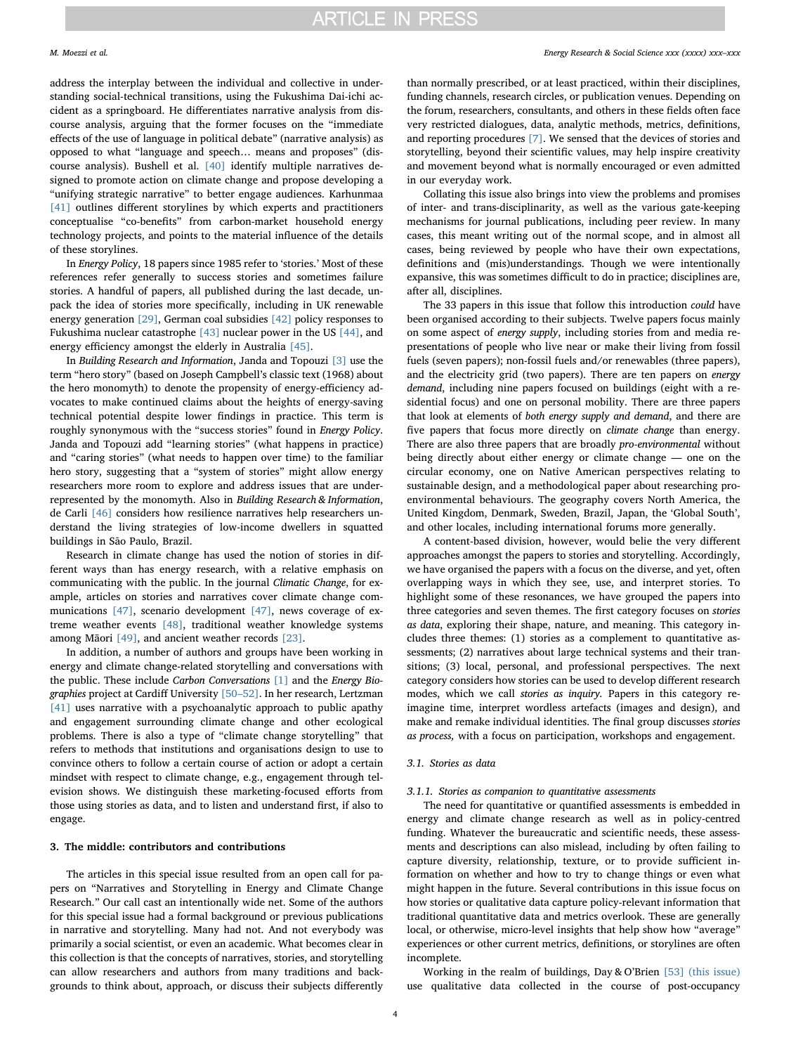address the interplay between the individual and collective in understanding social-technical transitions, using the Fukushima Dai-ichi accident as a springboard. He differentiates narrative analysis from discourse analysis, arguing that the former focuses on the "immediate effects of the use of language in political debate" (narrative analysis) as opposed to what "language and speech… means and proposes" (discourse analysis). Bushell et al. [\[40\]](#page-8-24) identify multiple narratives designed to promote action on climate change and propose developing a "unifying strategic narrative" to better engage audiences. Karhunmaa [\[41\]](#page-8-25) outlines different storylines by which experts and practitioners conceptualise "co-benefits" from carbon-market household energy technology projects, and points to the material influence of the details of these storylines.

In Energy Policy, 18 papers since 1985 refer to 'stories.' Most of these references refer generally to success stories and sometimes failure stories. A handful of papers, all published during the last decade, unpack the idea of stories more specifically, including in UK renewable energy generation [\[29\]](#page-8-16), German coal subsidies [\[42\]](#page-8-26) policy responses to Fukushima nuclear catastrophe [\[43\]](#page-8-27) nuclear power in the US [\[44\]](#page-8-28), and energy efficiency amongst the elderly in Australia [\[45\].](#page-8-29)

In Building Research and Information, Janda and Topouzi [\[3\]](#page-8-30) use the term "hero story" (based on Joseph Campbell's classic text (1968) about the hero monomyth) to denote the propensity of energy-efficiency advocates to make continued claims about the heights of energy-saving technical potential despite lower findings in practice. This term is roughly synonymous with the "success stories" found in Energy Policy. Janda and Topouzi add "learning stories" (what happens in practice) and "caring stories" (what needs to happen over time) to the familiar hero story, suggesting that a "system of stories" might allow energy researchers more room to explore and address issues that are underrepresented by the monomyth. Also in Building Research & Information, de Carli [\[46\]](#page-8-31) considers how resilience narratives help researchers understand the living strategies of low-income dwellers in squatted buildings in São Paulo, Brazil.

Research in climate change has used the notion of stories in different ways than has energy research, with a relative emphasis on communicating with the public. In the journal Climatic Change, for example, articles on stories and narratives cover climate change communications [\[47\]](#page-8-32), scenario development [\[47\]](#page-8-32), news coverage of extreme weather events [\[48\],](#page-8-33) traditional weather knowledge systems among Māori [\[49\]](#page-8-34), and ancient weather records [\[23\].](#page-8-11)

In addition, a number of authors and groups have been working in energy and climate change-related storytelling and conversations with the public. These include Carbon Conversations [\[1\]](#page-8-0) and the Energy Biographies project at Cardiff University [50–[52\]](#page-8-35). In her research, Lertzman [\[41\]](#page-8-25) uses narrative with a psychoanalytic approach to public apathy and engagement surrounding climate change and other ecological problems. There is also a type of "climate change storytelling" that refers to methods that institutions and organisations design to use to convince others to follow a certain course of action or adopt a certain mindset with respect to climate change, e.g., engagement through television shows. We distinguish these marketing-focused efforts from those using stories as data, and to listen and understand first, if also to engage.

#### 3. The middle: contributors and contributions

The articles in this special issue resulted from an open call for papers on "Narratives and Storytelling in Energy and Climate Change Research." Our call cast an intentionally wide net. Some of the authors for this special issue had a formal background or previous publications in narrative and storytelling. Many had not. And not everybody was primarily a social scientist, or even an academic. What becomes clear in this collection is that the concepts of narratives, stories, and storytelling can allow researchers and authors from many traditions and backgrounds to think about, approach, or discuss their subjects differently

### M. Moezzi et al. *Energy Research & Social Science xxx (xxxx) xxx–xxx*

than normally prescribed, or at least practiced, within their disciplines, funding channels, research circles, or publication venues. Depending on the forum, researchers, consultants, and others in these fields often face very restricted dialogues, data, analytic methods, metrics, definitions, and reporting procedures [\[7\]](#page-8-36). We sensed that the devices of stories and storytelling, beyond their scientific values, may help inspire creativity and movement beyond what is normally encouraged or even admitted in our everyday work.

Collating this issue also brings into view the problems and promises of inter- and trans-disciplinarity, as well as the various gate-keeping mechanisms for journal publications, including peer review. In many cases, this meant writing out of the normal scope, and in almost all cases, being reviewed by people who have their own expectations, definitions and (mis)understandings. Though we were intentionally expansive, this was sometimes difficult to do in practice; disciplines are, after all, disciplines.

The 33 papers in this issue that follow this introduction could have been organised according to their subjects. Twelve papers focus mainly on some aspect of energy supply, including stories from and media representations of people who live near or make their living from fossil fuels (seven papers); non-fossil fuels and/or renewables (three papers), and the electricity grid (two papers). There are ten papers on energy demand, including nine papers focused on buildings (eight with a residential focus) and one on personal mobility. There are three papers that look at elements of both energy supply and demand, and there are five papers that focus more directly on climate change than energy. There are also three papers that are broadly pro-environmental without being directly about either energy or climate change — one on the circular economy, one on Native American perspectives relating to sustainable design, and a methodological paper about researching proenvironmental behaviours. The geography covers North America, the United Kingdom, Denmark, Sweden, Brazil, Japan, the 'Global South', and other locales, including international forums more generally.

A content-based division, however, would belie the very different approaches amongst the papers to stories and storytelling. Accordingly, we have organised the papers with a focus on the diverse, and yet, often overlapping ways in which they see, use, and interpret stories. To highlight some of these resonances, we have grouped the papers into three categories and seven themes. The first category focuses on stories as data, exploring their shape, nature, and meaning. This category includes three themes: (1) stories as a complement to quantitative assessments; (2) narratives about large technical systems and their transitions; (3) local, personal, and professional perspectives. The next category considers how stories can be used to develop different research modes, which we call stories as inquiry. Papers in this category reimagine time, interpret wordless artefacts (images and design), and make and remake individual identities. The final group discusses stories as process, with a focus on participation, workshops and engagement.

#### 3.1. Stories as data

### 3.1.1. Stories as companion to quantitative assessments

The need for quantitative or quantified assessments is embedded in energy and climate change research as well as in policy-centred funding. Whatever the bureaucratic and scientific needs, these assessments and descriptions can also mislead, including by often failing to capture diversity, relationship, texture, or to provide sufficient information on whether and how to try to change things or even what might happen in the future. Several contributions in this issue focus on how stories or qualitative data capture policy-relevant information that traditional quantitative data and metrics overlook. These are generally local, or otherwise, micro-level insights that help show how "average" experiences or other current metrics, definitions, or storylines are often incomplete.

Working in the realm of buildings, Day & O'Brien [\[53\] \(this issue\)](#page-8-37) use qualitative data collected in the course of post-occupancy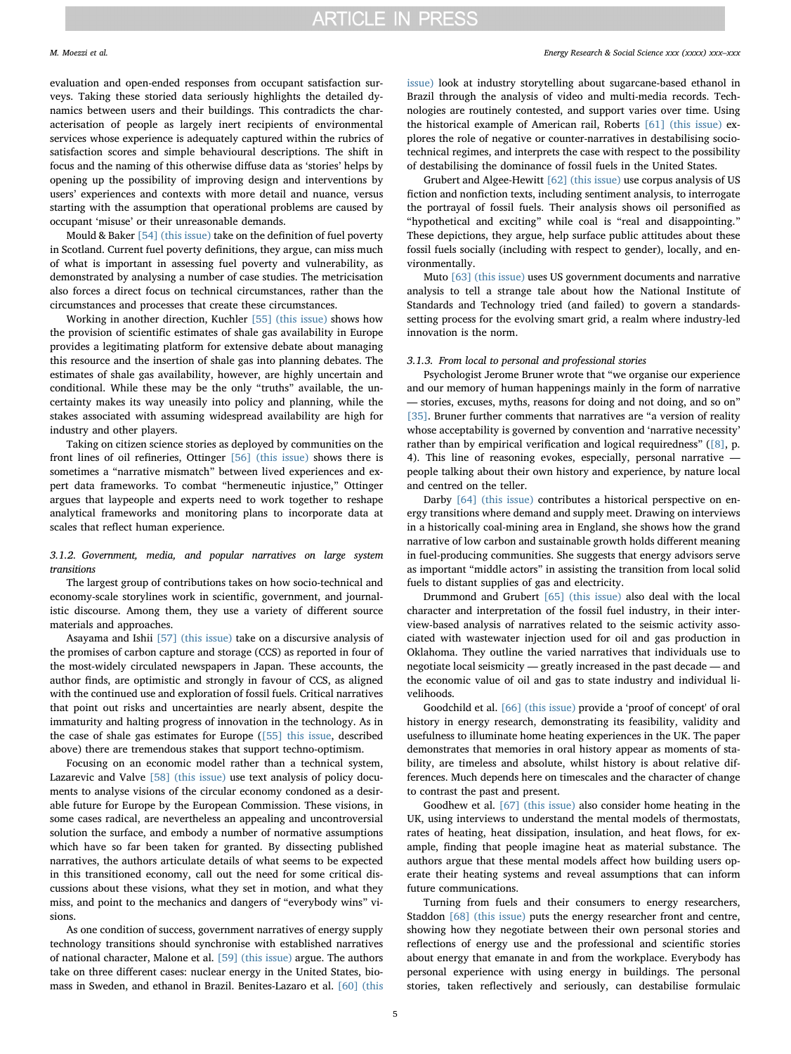evaluation and open-ended responses from occupant satisfaction surveys. Taking these storied data seriously highlights the detailed dynamics between users and their buildings. This contradicts the characterisation of people as largely inert recipients of environmental services whose experience is adequately captured within the rubrics of satisfaction scores and simple behavioural descriptions. The shift in focus and the naming of this otherwise diffuse data as 'stories' helps by opening up the possibility of improving design and interventions by users' experiences and contexts with more detail and nuance, versus starting with the assumption that operational problems are caused by occupant 'misuse' or their unreasonable demands.

Mould & Baker [\[54\] \(this issue\)](#page-8-38) take on the definition of fuel poverty in Scotland. Current fuel poverty definitions, they argue, can miss much of what is important in assessing fuel poverty and vulnerability, as demonstrated by analysing a number of case studies. The metricisation also forces a direct focus on technical circumstances, rather than the circumstances and processes that create these circumstances.

Working in another direction, Kuchler [\[55\] \(this issue\)](#page-8-39) shows how the provision of scientific estimates of shale gas availability in Europe provides a legitimating platform for extensive debate about managing this resource and the insertion of shale gas into planning debates. The estimates of shale gas availability, however, are highly uncertain and conditional. While these may be the only "truths" available, the uncertainty makes its way uneasily into policy and planning, while the stakes associated with assuming widespread availability are high for industry and other players.

Taking on citizen science stories as deployed by communities on the front lines of oil refineries, Ottinger [\[56\] \(this issue\)](#page-8-40) shows there is sometimes a "narrative mismatch" between lived experiences and expert data frameworks. To combat "hermeneutic injustice," Ottinger argues that laypeople and experts need to work together to reshape analytical frameworks and monitoring plans to incorporate data at scales that reflect human experience.

# 3.1.2. Government, media, and popular narratives on large system transitions

The largest group of contributions takes on how socio-technical and economy-scale storylines work in scientific, government, and journalistic discourse. Among them, they use a variety of different source materials and approaches.

Asayama and Ishii [\[57\] \(this issue\)](#page-8-41) take on a discursive analysis of the promises of carbon capture and storage (CCS) as reported in four of the most-widely circulated newspapers in Japan. These accounts, the author finds, are optimistic and strongly in favour of CCS, as aligned with the continued use and exploration of fossil fuels. Critical narratives that point out risks and uncertainties are nearly absent, despite the immaturity and halting progress of innovation in the technology. As in the case of shale gas estimates for Europe [\(\[55\] this issue,](#page-8-39) described above) there are tremendous stakes that support techno-optimism.

Focusing on an economic model rather than a technical system, Lazarevic and Valve [\[58\] \(this issue\)](#page-8-42) use text analysis of policy documents to analyse visions of the circular economy condoned as a desirable future for Europe by the European Commission. These visions, in some cases radical, are nevertheless an appealing and uncontroversial solution the surface, and embody a number of normative assumptions which have so far been taken for granted. By dissecting published narratives, the authors articulate details of what seems to be expected in this transitioned economy, call out the need for some critical discussions about these visions, what they set in motion, and what they miss, and point to the mechanics and dangers of "everybody wins" visions.

As one condition of success, government narratives of energy supply technology transitions should synchronise with established narratives of national character, Malone et al. [\[59\] \(this issue\)](#page-8-43) argue. The authors take on three different cases: nuclear energy in the United States, biomass in Sweden, and ethanol in Brazil. Benites-Lazaro et al. [\[60\] \(this](#page-8-44)

[issue\)](#page-8-44) look at industry storytelling about sugarcane-based ethanol in Brazil through the analysis of video and multi-media records. Technologies are routinely contested, and support varies over time. Using the historical example of American rail, Roberts [\[61\] \(this issue\)](#page-8-45) explores the role of negative or counter-narratives in destabilising sociotechnical regimes, and interprets the case with respect to the possibility of destabilising the dominance of fossil fuels in the United States.

Grubert and Algee-Hewitt [\[62\] \(this issue\)](#page-8-46) use corpus analysis of US fiction and nonfiction texts, including sentiment analysis, to interrogate the portrayal of fossil fuels. Their analysis shows oil personified as "hypothetical and exciting" while coal is "real and disappointing." These depictions, they argue, help surface public attitudes about these fossil fuels socially (including with respect to gender), locally, and environmentally.

Muto [\[63\] \(this issue\)](#page-8-47) uses US government documents and narrative analysis to tell a strange tale about how the National Institute of Standards and Technology tried (and failed) to govern a standardssetting process for the evolving smart grid, a realm where industry-led innovation is the norm.

#### 3.1.3. From local to personal and professional stories

Psychologist Jerome Bruner wrote that "we organise our experience and our memory of human happenings mainly in the form of narrative — stories, excuses, myths, reasons for doing and not doing, and so on" [\[35\]](#page-8-20). Bruner further comments that narratives are "a version of reality whose acceptability is governed by convention and 'narrative necessity' rather than by empirical verification and logical requiredness" ([\[8\]](#page-8-2), p. 4). This line of reasoning evokes, especially, personal narrative people talking about their own history and experience, by nature local and centred on the teller.

Darby [\[64\] \(this issue\)](#page-8-48) contributes a historical perspective on energy transitions where demand and supply meet. Drawing on interviews in a historically coal-mining area in England, she shows how the grand narrative of low carbon and sustainable growth holds different meaning in fuel-producing communities. She suggests that energy advisors serve as important "middle actors" in assisting the transition from local solid fuels to distant supplies of gas and electricity.

Drummond and Grubert [\[65\] \(this issue\)](#page-9-0) also deal with the local character and interpretation of the fossil fuel industry, in their interview-based analysis of narratives related to the seismic activity associated with wastewater injection used for oil and gas production in Oklahoma. They outline the varied narratives that individuals use to negotiate local seismicity — greatly increased in the past decade — and the economic value of oil and gas to state industry and individual livelihoods.

Goodchild et al. [\[66\] \(this issue\)](#page-9-1) provide a 'proof of concept' of oral history in energy research, demonstrating its feasibility, validity and usefulness to illuminate home heating experiences in the UK. The paper demonstrates that memories in oral history appear as moments of stability, are timeless and absolute, whilst history is about relative differences. Much depends here on timescales and the character of change to contrast the past and present.

Goodhew et al. [\[67\] \(this issue\)](#page-9-2) also consider home heating in the UK, using interviews to understand the mental models of thermostats, rates of heating, heat dissipation, insulation, and heat flows, for example, finding that people imagine heat as material substance. The authors argue that these mental models affect how building users operate their heating systems and reveal assumptions that can inform future communications.

Turning from fuels and their consumers to energy researchers, Staddon [\[68\] \(this issue\)](#page-9-3) puts the energy researcher front and centre, showing how they negotiate between their own personal stories and reflections of energy use and the professional and scientific stories about energy that emanate in and from the workplace. Everybody has personal experience with using energy in buildings. The personal stories, taken reflectively and seriously, can destabilise formulaic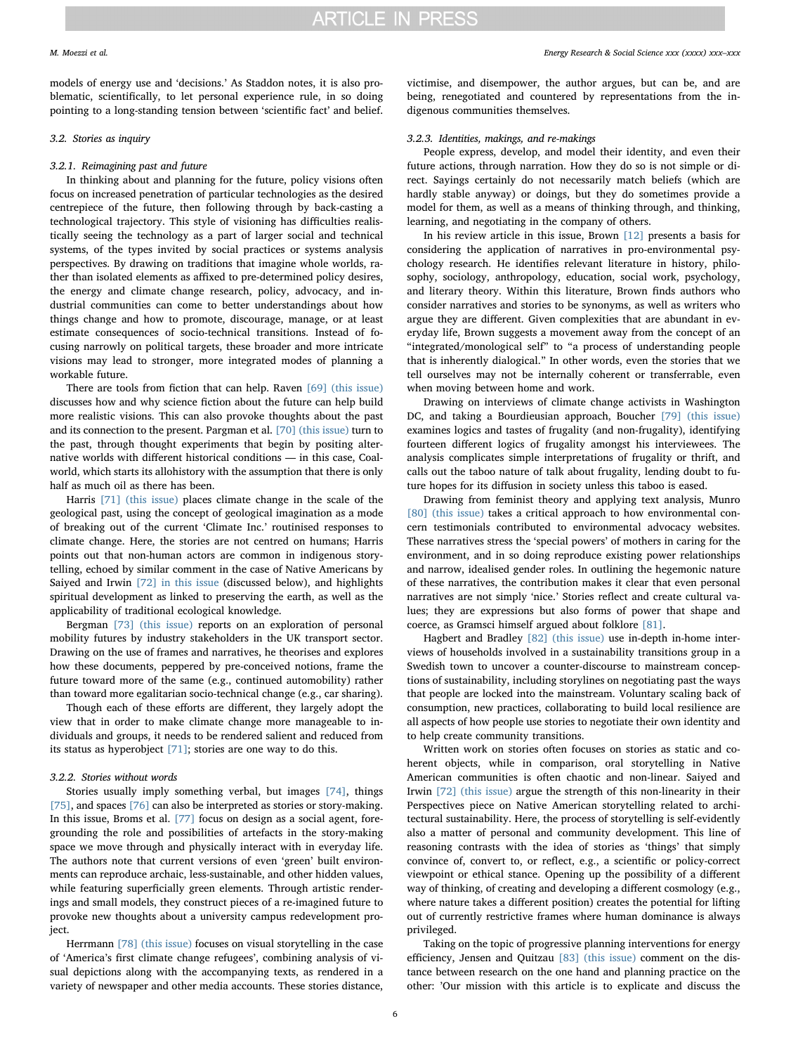models of energy use and 'decisions.' As Staddon notes, it is also problematic, scientifically, to let personal experience rule, in so doing pointing to a long-standing tension between 'scientific fact' and belief.

## 3.2. Stories as inquiry

## 3.2.1. Reimagining past and future

In thinking about and planning for the future, policy visions often focus on increased penetration of particular technologies as the desired centrepiece of the future, then following through by back-casting a technological trajectory. This style of visioning has difficulties realistically seeing the technology as a part of larger social and technical systems, of the types invited by social practices or systems analysis perspectives. By drawing on traditions that imagine whole worlds, rather than isolated elements as affixed to pre-determined policy desires, the energy and climate change research, policy, advocacy, and industrial communities can come to better understandings about how things change and how to promote, discourage, manage, or at least estimate consequences of socio-technical transitions. Instead of focusing narrowly on political targets, these broader and more intricate visions may lead to stronger, more integrated modes of planning a workable future.

There are tools from fiction that can help. Raven [\[69\] \(this issue\)](#page-9-4) discusses how and why science fiction about the future can help build more realistic visions. This can also provoke thoughts about the past and its connection to the present. Pargman et al. [\[70\] \(this issue\)](#page-9-5) turn to the past, through thought experiments that begin by positing alternative worlds with different historical conditions — in this case, Coalworld, which starts its allohistory with the assumption that there is only half as much oil as there has been.

Harris [\[71\] \(this issue\)](#page-9-6) places climate change in the scale of the geological past, using the concept of geological imagination as a mode of breaking out of the current 'Climate Inc.' routinised responses to climate change. Here, the stories are not centred on humans; Harris points out that non-human actors are common in indigenous storytelling, echoed by similar comment in the case of Native Americans by Saiyed and Irwin [\[72\] in this issue](#page-9-7) (discussed below), and highlights spiritual development as linked to preserving the earth, as well as the applicability of traditional ecological knowledge.

Bergman [\[73\] \(this issue\)](#page-9-8) reports on an exploration of personal mobility futures by industry stakeholders in the UK transport sector. Drawing on the use of frames and narratives, he theorises and explores how these documents, peppered by pre-conceived notions, frame the future toward more of the same (e.g., continued automobility) rather than toward more egalitarian socio-technical change (e.g., car sharing).

Though each of these efforts are different, they largely adopt the view that in order to make climate change more manageable to individuals and groups, it needs to be rendered salient and reduced from its status as hyperobject [\[71\];](#page-9-6) stories are one way to do this.

# 3.2.2. Stories without words

Stories usually imply something verbal, but images [\[74\],](#page-9-9) things [\[75\]](#page-9-10), and spaces [\[76\]](#page-9-11) can also be interpreted as stories or story-making. In this issue, Broms et al. [\[77\]](#page-9-12) focus on design as a social agent, foregrounding the role and possibilities of artefacts in the story-making space we move through and physically interact with in everyday life. The authors note that current versions of even 'green' built environments can reproduce archaic, less-sustainable, and other hidden values, while featuring superficially green elements. Through artistic renderings and small models, they construct pieces of a re-imagined future to provoke new thoughts about a university campus redevelopment project.

Herrmann [\[78\] \(this issue\)](#page-9-13) focuses on visual storytelling in the case of 'America's first climate change refugees', combining analysis of visual depictions along with the accompanying texts, as rendered in a variety of newspaper and other media accounts. These stories distance,

victimise, and disempower, the author argues, but can be, and are being, renegotiated and countered by representations from the indigenous communities themselves.

# 3.2.3. Identities, makings, and re-makings

People express, develop, and model their identity, and even their future actions, through narration. How they do so is not simple or direct. Sayings certainly do not necessarily match beliefs (which are hardly stable anyway) or doings, but they do sometimes provide a model for them, as well as a means of thinking through, and thinking, learning, and negotiating in the company of others.

In his review article in this issue, Brown [\[12\]](#page-8-3) presents a basis for considering the application of narratives in pro-environmental psychology research. He identifies relevant literature in history, philosophy, sociology, anthropology, education, social work, psychology, and literary theory. Within this literature, Brown finds authors who consider narratives and stories to be synonyms, as well as writers who argue they are different. Given complexities that are abundant in everyday life, Brown suggests a movement away from the concept of an "integrated/monological self" to "a process of understanding people that is inherently dialogical." In other words, even the stories that we tell ourselves may not be internally coherent or transferrable, even when moving between home and work.

Drawing on interviews of climate change activists in Washington DC, and taking a Bourdieusian approach, Boucher [\[79\] \(this issue\)](#page-9-14) examines logics and tastes of frugality (and non-frugality), identifying fourteen different logics of frugality amongst his interviewees. The analysis complicates simple interpretations of frugality or thrift, and calls out the taboo nature of talk about frugality, lending doubt to future hopes for its diffusion in society unless this taboo is eased.

Drawing from feminist theory and applying text analysis, Munro [\[80\] \(this issue\)](#page-9-15) takes a critical approach to how environmental concern testimonials contributed to environmental advocacy websites. These narratives stress the 'special powers' of mothers in caring for the environment, and in so doing reproduce existing power relationships and narrow, idealised gender roles. In outlining the hegemonic nature of these narratives, the contribution makes it clear that even personal narratives are not simply 'nice.' Stories reflect and create cultural values; they are expressions but also forms of power that shape and coerce, as Gramsci himself argued about folklore [\[81\]](#page-9-16).

Hagbert and Bradley [\[82\] \(this issue\)](#page-9-17) use in-depth in-home interviews of households involved in a sustainability transitions group in a Swedish town to uncover a counter-discourse to mainstream conceptions of sustainability, including storylines on negotiating past the ways that people are locked into the mainstream. Voluntary scaling back of consumption, new practices, collaborating to build local resilience are all aspects of how people use stories to negotiate their own identity and to help create community transitions.

Written work on stories often focuses on stories as static and coherent objects, while in comparison, oral storytelling in Native American communities is often chaotic and non-linear. Saiyed and Irwin [\[72\] \(this issue\)](#page-9-7) argue the strength of this non-linearity in their Perspectives piece on Native American storytelling related to architectural sustainability. Here, the process of storytelling is self-evidently also a matter of personal and community development. This line of reasoning contrasts with the idea of stories as 'things' that simply convince of, convert to, or reflect, e.g., a scientific or policy-correct viewpoint or ethical stance. Opening up the possibility of a different way of thinking, of creating and developing a different cosmology (e.g., where nature takes a different position) creates the potential for lifting out of currently restrictive frames where human dominance is always privileged.

Taking on the topic of progressive planning interventions for energy efficiency, Jensen and Quitzau [\[83\] \(this issue\)](#page-9-18) comment on the distance between research on the one hand and planning practice on the other: 'Our mission with this article is to explicate and discuss the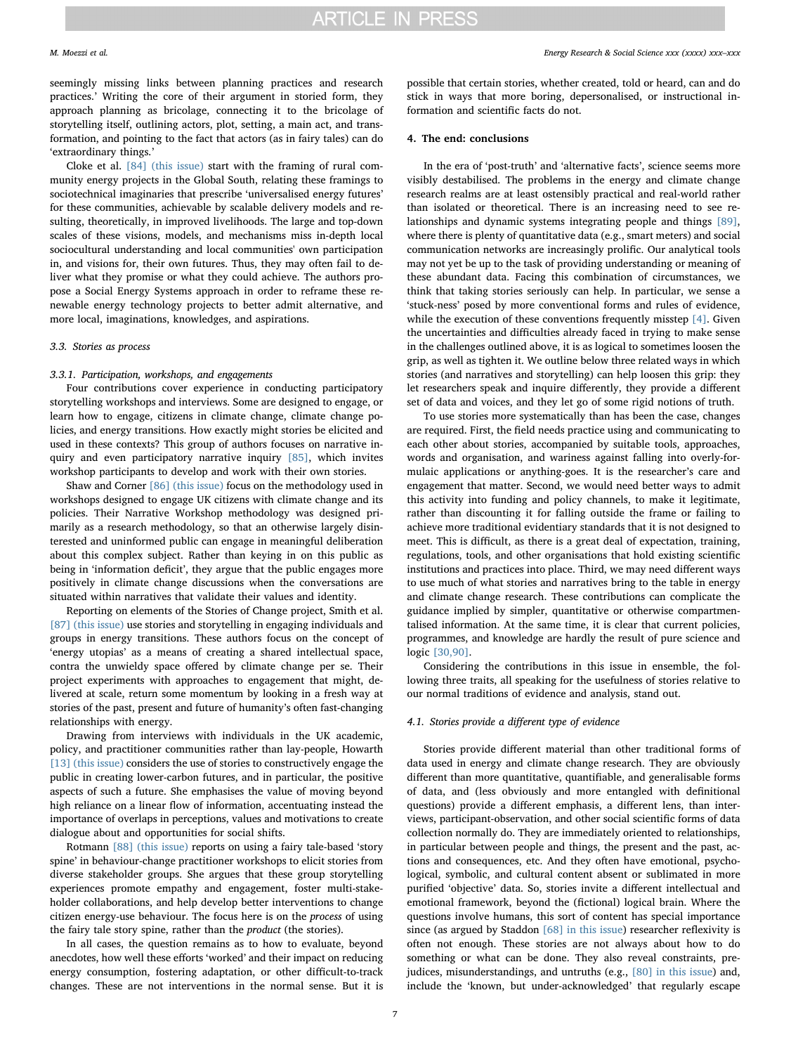seemingly missing links between planning practices and research practices.' Writing the core of their argument in storied form, they approach planning as bricolage, connecting it to the bricolage of storytelling itself, outlining actors, plot, setting, a main act, and transformation, and pointing to the fact that actors (as in fairy tales) can do 'extraordinary things.'

Cloke et al. [\[84\] \(this issue\)](#page-9-19) start with the framing of rural community energy projects in the Global South, relating these framings to sociotechnical imaginaries that prescribe 'universalised energy futures' for these communities, achievable by scalable delivery models and resulting, theoretically, in improved livelihoods. The large and top-down scales of these visions, models, and mechanisms miss in-depth local sociocultural understanding and local communities' own participation in, and visions for, their own futures. Thus, they may often fail to deliver what they promise or what they could achieve. The authors propose a Social Energy Systems approach in order to reframe these renewable energy technology projects to better admit alternative, and more local, imaginations, knowledges, and aspirations.

#### 3.3. Stories as process

### 3.3.1. Participation, workshops, and engagements

Four contributions cover experience in conducting participatory storytelling workshops and interviews. Some are designed to engage, or learn how to engage, citizens in climate change, climate change policies, and energy transitions. How exactly might stories be elicited and used in these contexts? This group of authors focuses on narrative inquiry and even participatory narrative inquiry [\[85\]](#page-9-20), which invites workshop participants to develop and work with their own stories.

Shaw and Corner [\[86\] \(this issue\)](#page-9-21) focus on the methodology used in workshops designed to engage UK citizens with climate change and its policies. Their Narrative Workshop methodology was designed primarily as a research methodology, so that an otherwise largely disinterested and uninformed public can engage in meaningful deliberation about this complex subject. Rather than keying in on this public as being in 'information deficit', they argue that the public engages more positively in climate change discussions when the conversations are situated within narratives that validate their values and identity.

Reporting on elements of the Stories of Change project, Smith et al. [\[87\] \(this issue\)](#page-9-22) use stories and storytelling in engaging individuals and groups in energy transitions. These authors focus on the concept of 'energy utopias' as a means of creating a shared intellectual space, contra the unwieldy space offered by climate change per se. Their project experiments with approaches to engagement that might, delivered at scale, return some momentum by looking in a fresh way at stories of the past, present and future of humanity's often fast-changing relationships with energy.

Drawing from interviews with individuals in the UK academic, policy, and practitioner communities rather than lay-people, Howarth [\[13\] \(this issue\)](#page-8-49) considers the use of stories to constructively engage the public in creating lower-carbon futures, and in particular, the positive aspects of such a future. She emphasises the value of moving beyond high reliance on a linear flow of information, accentuating instead the importance of overlaps in perceptions, values and motivations to create dialogue about and opportunities for social shifts.

Rotmann [\[88\] \(this issue\)](#page-9-23) reports on using a fairy tale-based 'story spine' in behaviour-change practitioner workshops to elicit stories from diverse stakeholder groups. She argues that these group storytelling experiences promote empathy and engagement, foster multi-stakeholder collaborations, and help develop better interventions to change citizen energy-use behaviour. The focus here is on the process of using the fairy tale story spine, rather than the product (the stories).

In all cases, the question remains as to how to evaluate, beyond anecdotes, how well these efforts 'worked' and their impact on reducing energy consumption, fostering adaptation, or other difficult-to-track changes. These are not interventions in the normal sense. But it is

possible that certain stories, whether created, told or heard, can and do stick in ways that more boring, depersonalised, or instructional information and scientific facts do not.

### 4. The end: conclusions

In the era of 'post-truth' and 'alternative facts', science seems more visibly destabilised. The problems in the energy and climate change research realms are at least ostensibly practical and real-world rather than isolated or theoretical. There is an increasing need to see relationships and dynamic systems integrating people and things [\[89\]](#page-9-24), where there is plenty of quantitative data (e.g., smart meters) and social communication networks are increasingly prolific. Our analytical tools may not yet be up to the task of providing understanding or meaning of these abundant data. Facing this combination of circumstances, we think that taking stories seriously can help. In particular, we sense a 'stuck-ness' posed by more conventional forms and rules of evidence, while the execution of these conventions frequently misstep [\[4\]](#page-8-50). Given the uncertainties and difficulties already faced in trying to make sense in the challenges outlined above, it is as logical to sometimes loosen the grip, as well as tighten it. We outline below three related ways in which stories (and narratives and storytelling) can help loosen this grip: they let researchers speak and inquire differently, they provide a different set of data and voices, and they let go of some rigid notions of truth.

To use stories more systematically than has been the case, changes are required. First, the field needs practice using and communicating to each other about stories, accompanied by suitable tools, approaches, words and organisation, and wariness against falling into overly-formulaic applications or anything-goes. It is the researcher's care and engagement that matter. Second, we would need better ways to admit this activity into funding and policy channels, to make it legitimate, rather than discounting it for falling outside the frame or failing to achieve more traditional evidentiary standards that it is not designed to meet. This is difficult, as there is a great deal of expectation, training, regulations, tools, and other organisations that hold existing scientific institutions and practices into place. Third, we may need different ways to use much of what stories and narratives bring to the table in energy and climate change research. These contributions can complicate the guidance implied by simpler, quantitative or otherwise compartmentalised information. At the same time, it is clear that current policies, programmes, and knowledge are hardly the result of pure science and logic [\[30,90\]](#page-8-17).

Considering the contributions in this issue in ensemble, the following three traits, all speaking for the usefulness of stories relative to our normal traditions of evidence and analysis, stand out.

#### 4.1. Stories provide a different type of evidence

Stories provide different material than other traditional forms of data used in energy and climate change research. They are obviously different than more quantitative, quantifiable, and generalisable forms of data, and (less obviously and more entangled with definitional questions) provide a different emphasis, a different lens, than interviews, participant-observation, and other social scientific forms of data collection normally do. They are immediately oriented to relationships, in particular between people and things, the present and the past, actions and consequences, etc. And they often have emotional, psychological, symbolic, and cultural content absent or sublimated in more purified 'objective' data. So, stories invite a different intellectual and emotional framework, beyond the (fictional) logical brain. Where the questions involve humans, this sort of content has special importance since (as argued by Staddon [\[68\] in this issue](#page-9-3)) researcher reflexivity is often not enough. These stories are not always about how to do something or what can be done. They also reveal constraints, prejudices, misunderstandings, and untruths (e.g., [\[80\] in this issue\)](#page-9-15) and, include the 'known, but under-acknowledged' that regularly escape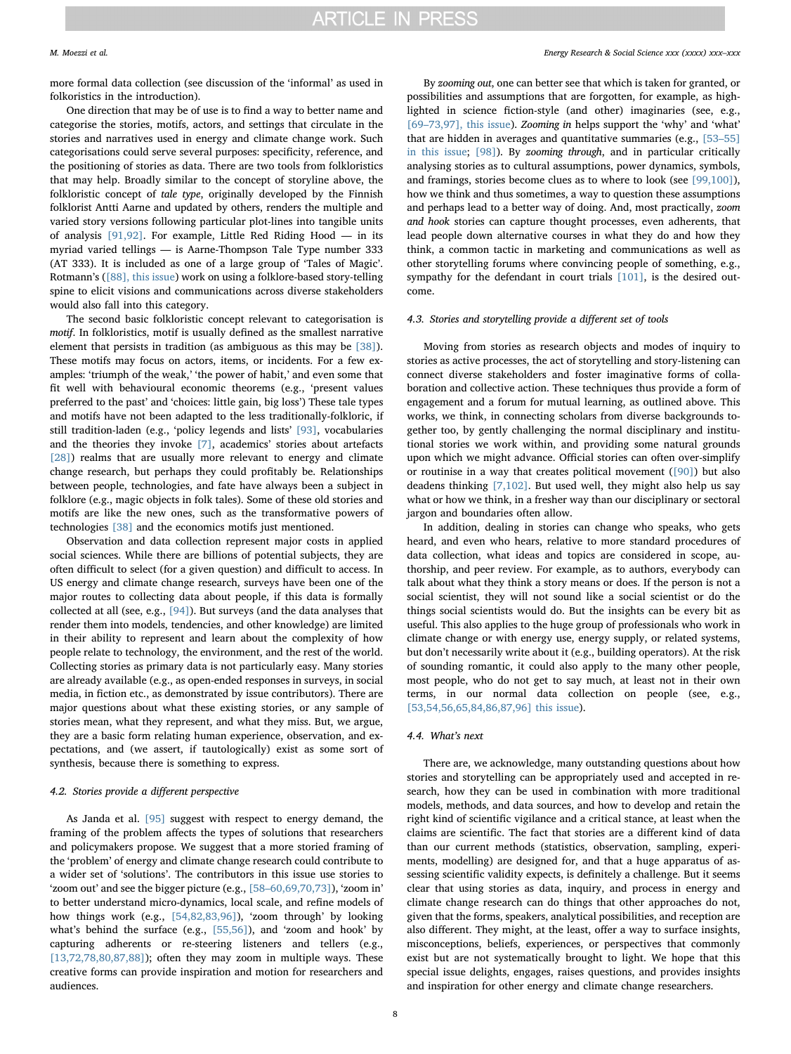more formal data collection (see discussion of the 'informal' as used in folkoristics in the introduction).

One direction that may be of use is to find a way to better name and categorise the stories, motifs, actors, and settings that circulate in the stories and narratives used in energy and climate change work. Such categorisations could serve several purposes: specificity, reference, and the positioning of stories as data. There are two tools from folkloristics that may help. Broadly similar to the concept of storyline above, the folkloristic concept of tale type, originally developed by the Finnish folklorist Antti Aarne and updated by others, renders the multiple and varied story versions following particular plot-lines into tangible units of analysis [\[91,92\].](#page-9-25) For example, Little Red Riding Hood — in its myriad varied tellings — is Aarne-Thompson Tale Type number 333 (AT 333). It is included as one of a large group of 'Tales of Magic'. Rotmann's ([\[88\], this issue\)](#page-9-23) work on using a folklore-based story-telling spine to elicit visions and communications across diverse stakeholders would also fall into this category.

The second basic folkloristic concept relevant to categorisation is motif. In folkloristics, motif is usually defined as the smallest narrative element that persists in tradition (as ambiguous as this may be [\[38\]](#page-8-51)). These motifs may focus on actors, items, or incidents. For a few examples: 'triumph of the weak,' 'the power of habit,' and even some that fit well with behavioural economic theorems (e.g., 'present values preferred to the past' and 'choices: little gain, big loss') These tale types and motifs have not been adapted to the less traditionally-folkloric, if still tradition-laden (e.g., 'policy legends and lists' [\[93\],](#page-9-26) vocabularies and the theories they invoke [\[7\],](#page-8-36) academics' stories about artefacts [\[28\]](#page-8-15)) realms that are usually more relevant to energy and climate change research, but perhaps they could profitably be. Relationships between people, technologies, and fate have always been a subject in folklore (e.g., magic objects in folk tales). Some of these old stories and motifs are like the new ones, such as the transformative powers of technologies [\[38\]](#page-8-51) and the economics motifs just mentioned.

Observation and data collection represent major costs in applied social sciences. While there are billions of potential subjects, they are often difficult to select (for a given question) and difficult to access. In US energy and climate change research, surveys have been one of the major routes to collecting data about people, if this data is formally collected at all (see, e.g., [\[94\]\)](#page-9-27). But surveys (and the data analyses that render them into models, tendencies, and other knowledge) are limited in their ability to represent and learn about the complexity of how people relate to technology, the environment, and the rest of the world. Collecting stories as primary data is not particularly easy. Many stories are already available (e.g., as open-ended responses in surveys, in social media, in fiction etc., as demonstrated by issue contributors). There are major questions about what these existing stories, or any sample of stories mean, what they represent, and what they miss. But, we argue, they are a basic form relating human experience, observation, and expectations, and (we assert, if tautologically) exist as some sort of synthesis, because there is something to express.

### 4.2. Stories provide a different perspective

As Janda et al. [\[95\]](#page-9-28) suggest with respect to energy demand, the framing of the problem affects the types of solutions that researchers and policymakers propose. We suggest that a more storied framing of the 'problem' of energy and climate change research could contribute to a wider set of 'solutions'. The contributors in this issue use stories to 'zoom out' and see the bigger picture (e.g., [58–[60,69,70,73\]\)](#page-8-42), 'zoom in' to better understand micro-dynamics, local scale, and refine models of how things work (e.g., [\[54,82,83,96\]](#page-8-38)), 'zoom through' by looking what's behind the surface (e.g., [\[55,56\]\)](#page-8-39), and 'zoom and hook' by capturing adherents or re-steering listeners and tellers (e.g., [\[13,72,78,80,87,88\]](#page-8-49)); often they may zoom in multiple ways. These creative forms can provide inspiration and motion for researchers and audiences.

By zooming out, one can better see that which is taken for granted, or possibilities and assumptions that are forgotten, for example, as highlighted in science fiction-style (and other) imaginaries (see, e.g., [69–[73,97\], this issue\)](#page-9-4). Zooming in helps support the 'why' and 'what' that are hidden in averages and quantitative summaries (e.g., [\[53](#page-8-37)–55] [in this issue;](#page-8-37) [\[98\]\)](#page-9-29). By zooming through, and in particular critically analysing stories as to cultural assumptions, power dynamics, symbols, and framings, stories become clues as to where to look (see [\[99,100\]](#page-9-30)), how we think and thus sometimes, a way to question these assumptions and perhaps lead to a better way of doing. And, most practically, zoom and hook stories can capture thought processes, even adherents, that lead people down alternative courses in what they do and how they think, a common tactic in marketing and communications as well as other storytelling forums where convincing people of something, e.g., sympathy for the defendant in court trials [\[101\]](#page-9-31), is the desired outcome.

### 4.3. Stories and storytelling provide a different set of tools

Moving from stories as research objects and modes of inquiry to stories as active processes, the act of storytelling and story-listening can connect diverse stakeholders and foster imaginative forms of collaboration and collective action. These techniques thus provide a form of engagement and a forum for mutual learning, as outlined above. This works, we think, in connecting scholars from diverse backgrounds together too, by gently challenging the normal disciplinary and institutional stories we work within, and providing some natural grounds upon which we might advance. Official stories can often over-simplify or routinise in a way that creates political movement ([\[90\]\)](#page-9-32) but also deadens thinking [\[7,102\].](#page-8-36) But used well, they might also help us say what or how we think, in a fresher way than our disciplinary or sectoral jargon and boundaries often allow.

In addition, dealing in stories can change who speaks, who gets heard, and even who hears, relative to more standard procedures of data collection, what ideas and topics are considered in scope, authorship, and peer review. For example, as to authors, everybody can talk about what they think a story means or does. If the person is not a social scientist, they will not sound like a social scientist or do the things social scientists would do. But the insights can be every bit as useful. This also applies to the huge group of professionals who work in climate change or with energy use, energy supply, or related systems, but don't necessarily write about it (e.g., building operators). At the risk of sounding romantic, it could also apply to the many other people, most people, who do not get to say much, at least not in their own terms, in our normal data collection on people (see, e.g., [\[53,54,56,65,84,86,87,96\] this issue](#page-8-37)).

# 4.4. What's next

There are, we acknowledge, many outstanding questions about how stories and storytelling can be appropriately used and accepted in research, how they can be used in combination with more traditional models, methods, and data sources, and how to develop and retain the right kind of scientific vigilance and a critical stance, at least when the claims are scientific. The fact that stories are a different kind of data than our current methods (statistics, observation, sampling, experiments, modelling) are designed for, and that a huge apparatus of assessing scientific validity expects, is definitely a challenge. But it seems clear that using stories as data, inquiry, and process in energy and climate change research can do things that other approaches do not, given that the forms, speakers, analytical possibilities, and reception are also different. They might, at the least, offer a way to surface insights, misconceptions, beliefs, experiences, or perspectives that commonly exist but are not systematically brought to light. We hope that this special issue delights, engages, raises questions, and provides insights and inspiration for other energy and climate change researchers.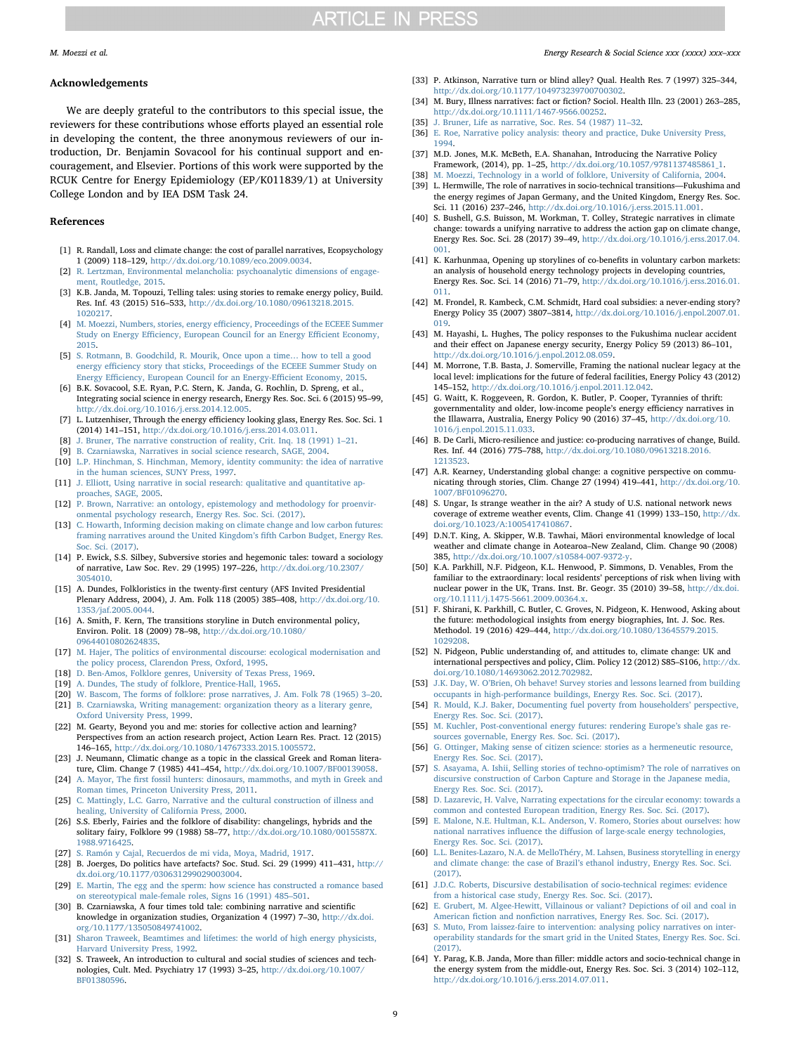#### Acknowledgements

We are deeply grateful to the contributors to this special issue, the reviewers for these contributions whose efforts played an essential role in developing the content, the three anonymous reviewers of our introduction, Dr. Benjamin Sovacool for his continual support and encouragement, and Elsevier. Portions of this work were supported by the RCUK Centre for Energy Epidemiology (EP/K011839/1) at University College London and by IEA DSM Task 24.

### References

- <span id="page-8-0"></span>[1] R. Randall, Loss and climate change: the cost of parallel narratives, Ecopsychology 1 (2009) 118–129, [http://dx.doi.org/10.1089/eco.2009.0034.](http://dx.doi.org/10.1089/eco.2009.0034)
- [2] [R. Lertzman, Environmental melancholia: psychoanalytic dimensions of engage](http://refhub.elsevier.com/S2214-6296(17)30205-0/sbref0010)[ment, Routledge, 2015.](http://refhub.elsevier.com/S2214-6296(17)30205-0/sbref0010)
- <span id="page-8-30"></span>[3] K.B. Janda, M. Topouzi, Telling tales: using stories to remake energy policy, Build. Res. Inf. 43 (2015) 516–533, [http://dx.doi.org/10.1080/09613218.2015.](http://dx.doi.org/10.1080/09613218.2015.1020217) [1020217.](http://dx.doi.org/10.1080/09613218.2015.1020217)
- <span id="page-8-50"></span>[4] M. Moezzi, Numbers, stories, energy effi[ciency, Proceedings of the ECEEE Summer](http://refhub.elsevier.com/S2214-6296(17)30205-0/sbref0020) Study on Energy Effi[ciency, European Council for an Energy E](http://refhub.elsevier.com/S2214-6296(17)30205-0/sbref0020)fficient Economy, [2015.](http://refhub.elsevier.com/S2214-6296(17)30205-0/sbref0020)
- [5] [S. Rotmann, B. Goodchild, R. Mourik, Once upon a time](http://refhub.elsevier.com/S2214-6296(17)30205-0/sbref0025)… how to tell a good energy effi[ciency story that sticks, Proceedings of the ECEEE Summer Study on](http://refhub.elsevier.com/S2214-6296(17)30205-0/sbref0025) Energy Effi[ciency, European Council for an Energy-E](http://refhub.elsevier.com/S2214-6296(17)30205-0/sbref0025)fficient Economy, 2015.
- <span id="page-8-1"></span>[6] B.K. Sovacool, S.E. Ryan, P.C. Stern, K. Janda, G. Rochlin, D. Spreng, et al., Integrating social science in energy research, Energy Res. Soc. Sci. 6 (2015) 95–99, [http://dx.doi.org/10.1016/j.erss.2014.12.005.](http://dx.doi.org/10.1016/j.erss.2014.12.005)
- <span id="page-8-36"></span>[7] L. Lutzenhiser, Through the energy efficiency looking glass, Energy Res. Soc. Sci. 1 (2014) 141–151, [http://dx.doi.org/10.1016/j.erss.2014.03.011.](http://dx.doi.org/10.1016/j.erss.2014.03.011)
- <span id="page-8-2"></span>[8] [J. Bruner, The narrative construction of reality, Crit. Inq. 18 \(1991\) 1](http://refhub.elsevier.com/S2214-6296(17)30205-0/sbref0040)–21.
- [9] [B. Czarniawska, Narratives in social science research, SAGE, 2004.](http://refhub.elsevier.com/S2214-6296(17)30205-0/sbref0045)
- [10] [L.P. Hinchman, S. Hinchman, Memory, identity community: the idea of narrative](http://refhub.elsevier.com/S2214-6296(17)30205-0/sbref0050) [in the human sciences, SUNY Press, 1997.](http://refhub.elsevier.com/S2214-6296(17)30205-0/sbref0050)
- [11] [J. Elliott, Using narrative in social research: qualitative and quantitative ap](http://refhub.elsevier.com/S2214-6296(17)30205-0/sbref0055)[proaches, SAGE, 2005.](http://refhub.elsevier.com/S2214-6296(17)30205-0/sbref0055)
- <span id="page-8-3"></span>[12] [P. Brown, Narrative: an ontology, epistemology and methodology for proenvir](http://refhub.elsevier.com/S2214-6296(17)30205-0/sbref0060)[onmental psychology research, Energy Res. Soc. Sci. \(2017\).](http://refhub.elsevier.com/S2214-6296(17)30205-0/sbref0060)
- <span id="page-8-49"></span>[13] [C. Howarth, Informing decision making on climate change and low carbon futures:](http://refhub.elsevier.com/S2214-6296(17)30205-0/sbref0065) [framing narratives around the United Kingdom](http://refhub.elsevier.com/S2214-6296(17)30205-0/sbref0065)'s fifth Carbon Budget, Energy Res. [Soc. Sci. \(2017\).](http://refhub.elsevier.com/S2214-6296(17)30205-0/sbref0065)
- <span id="page-8-4"></span>[14] P. Ewick, S.S. Silbey, Subversive stories and hegemonic tales: toward a sociology of narrative, Law Soc. Rev. 29 (1995) 197–226, [http://dx.doi.org/10.2307/](http://dx.doi.org/10.2307/3054010) [3054010.](http://dx.doi.org/10.2307/3054010)
- <span id="page-8-8"></span>[15] A. Dundes, Folkloristics in the twenty-first century (AFS Invited Presidential Plenary Address, 2004), J. Am. Folk 118 (2005) 385–408, [http://dx.doi.org/10.](http://dx.doi.org/10.1353/jaf.2005.0044) [1353/jaf.2005.0044.](http://dx.doi.org/10.1353/jaf.2005.0044)
- <span id="page-8-5"></span>[16] A. Smith, F. Kern, The transitions storyline in Dutch environmental policy, Environ. Polit. 18 (2009) 78–98, [http://dx.doi.org/10.1080/](http://dx.doi.org/10.1080/09644010802624835) [09644010802624835.](http://dx.doi.org/10.1080/09644010802624835)
- [17] M. [Hajer, The politics of environmental discourse: ecological modernisation and](http://refhub.elsevier.com/S2214-6296(17)30205-0/sbref0085) [the policy process, Clarendon Press, Oxford, 1995.](http://refhub.elsevier.com/S2214-6296(17)30205-0/sbref0085)
- <span id="page-8-6"></span>[18] [D. Ben-Amos, Folklore genres, University of Texas Press, 1969.](http://refhub.elsevier.com/S2214-6296(17)30205-0/sbref0090)
- [19] [A. Dundes, The study of folklore, Prentice-Hall, 1965.](http://refhub.elsevier.com/S2214-6296(17)30205-0/sbref0095)
- <span id="page-8-7"></span>[20] [W. Bascom, The forms of folklore: prose narratives, J. Am. Folk 78 \(1965\) 3](http://refhub.elsevier.com/S2214-6296(17)30205-0/sbref0100)–20.
- <span id="page-8-9"></span>[21] [B. Czarniawska, Writing management: organization theory as a literary genre,](http://refhub.elsevier.com/S2214-6296(17)30205-0/sbref0105) [Oxford University Press, 1999.](http://refhub.elsevier.com/S2214-6296(17)30205-0/sbref0105)
- <span id="page-8-10"></span>[22] M. Gearty, Beyond you and me: stories for collective action and learning? Perspectives from an action research project, Action Learn Res. Pract. 12 (2015) 146–165, [http://dx.doi.org/10.1080/14767333.2015.1005572.](http://dx.doi.org/10.1080/14767333.2015.1005572)
- <span id="page-8-11"></span>[23] J. Neumann, Climatic change as a topic in the classical Greek and Roman literature, Clim. Change 7 (1985) 441–454, [http://dx.doi.org/10.1007/BF00139058.](http://dx.doi.org/10.1007/BF00139058)
- <span id="page-8-12"></span>[24] A. Mayor, The fi[rst fossil hunters: dinosaurs, mammoths, and myth in Greek and](http://refhub.elsevier.com/S2214-6296(17)30205-0/sbref0120) [Roman times, Princeton University Press, 2011.](http://refhub.elsevier.com/S2214-6296(17)30205-0/sbref0120)
- <span id="page-8-13"></span>[25] [C. Mattingly, L.C. Garro, Narrative and the cultural construction of illness and](http://refhub.elsevier.com/S2214-6296(17)30205-0/sbref0125) [healing, University of California Press, 2000.](http://refhub.elsevier.com/S2214-6296(17)30205-0/sbref0125)
- [26] S.S. Eberly, Fairies and the folklore of disability: changelings, hybrids and the solitary fairy, Folklore 99 (1988) 58–77, [http://dx.doi.org/10.1080/0015587X.](http://dx.doi.org/10.1080/0015587X.1988.9716425) [1988.9716425.](http://dx.doi.org/10.1080/0015587X.1988.9716425)
- <span id="page-8-14"></span>[27] [S. Ramón y Cajal, Recuerdos de mi vida, Moya, Madrid, 1917.](http://refhub.elsevier.com/S2214-6296(17)30205-0/sbref0135)
- <span id="page-8-15"></span>[28] B. Joerges, Do politics have artefacts? Soc. Stud. Sci. 29 (1999) 411–431, [http://](http://dx.doi.org/10.1177/030631299029003004) [dx.doi.org/10.1177/030631299029003004.](http://dx.doi.org/10.1177/030631299029003004)
- <span id="page-8-16"></span>[29] [E. Martin, The egg and the sperm: how science has constructed a romance based](http://refhub.elsevier.com/S2214-6296(17)30205-0/sbref0145) [on stereotypical male-female roles, Signs 16 \(1991\) 485](http://refhub.elsevier.com/S2214-6296(17)30205-0/sbref0145)–501.
- <span id="page-8-17"></span>[30] B. Czarniawska, A four times told tale: combining narrative and scientific knowledge in organization studies, Organization 4 (1997) 7–30, [http://dx.doi.](http://dx.doi.org/10.1177/135050849741002) [org/10.1177/135050849741002.](http://dx.doi.org/10.1177/135050849741002)
- <span id="page-8-18"></span>[31] [Sharon Traweek, Beamtimes and lifetimes: the world of high energy physicists,](http://refhub.elsevier.com/S2214-6296(17)30205-0/sbref0155) [Harvard University Press, 1992.](http://refhub.elsevier.com/S2214-6296(17)30205-0/sbref0155)
- [32] S. Traweek, An introduction to cultural and social studies of sciences and technologies, Cult. Med. Psychiatry 17 (1993) 3–25, [http://dx.doi.org/10.1007/](http://dx.doi.org/10.1007/BF01380596) [BF01380596.](http://dx.doi.org/10.1007/BF01380596)

#### M. Moezzi et al. *Energy Research & Social Science xxx (xxxx) xxx–xxx*

- <span id="page-8-19"></span>[33] P. Atkinson, Narrative turn or blind alley? Qual. Health Res. 7 (1997) 325–344, [http://dx.doi.org/10.1177/104973239700700302.](http://dx.doi.org/10.1177/104973239700700302)
- [34] M. Bury, Illness narratives: fact or fiction? Sociol. Health Illn. 23 (2001) 263–285, [http://dx.doi.org/10.1111/1467-9566.00252.](http://dx.doi.org/10.1111/1467-9566.00252)
- <span id="page-8-20"></span>[35] J. [Bruner, Life as narrative, Soc. Res. 54 \(1987\) 11](http://refhub.elsevier.com/S2214-6296(17)30205-0/sbref0175)-32.
- <span id="page-8-21"></span>[36] [E. Roe, Narrative policy analysis: theory and practice, Duke University Press,](http://refhub.elsevier.com/S2214-6296(17)30205-0/sbref0180) [1994.](http://refhub.elsevier.com/S2214-6296(17)30205-0/sbref0180)
- <span id="page-8-22"></span>[37] M.D. Jones, M.K. McBeth, E.A. Shanahan, Introducing the Narrative Policy Framework, (2014), pp. 1–25, [http://dx.doi.org/10.1057/9781137485861\\_1.](http://dx.doi.org/10.1057/9781137485861_1)
- <span id="page-8-51"></span>[38] [M. Moezzi, Technology in a world of folklore, University of California, 2004.](http://refhub.elsevier.com/S2214-6296(17)30205-0/sbref0190)
- <span id="page-8-23"></span>[39] L. Hermwille, The role of narratives in socio-technical transitions—Fukushima and the energy regimes of Japan Germany, and the United Kingdom, Energy Res. Soc. Sci. 11 (2016) 237–246, [http://dx.doi.org/10.1016/j.erss.2015.11.001.](http://dx.doi.org/10.1016/j.erss.2015.11.001)
- <span id="page-8-24"></span>[40] S. Bushell, G.S. Buisson, M. Workman, T. Colley, Strategic narratives in climate change: towards a unifying narrative to address the action gap on climate change, Energy Res. Soc. Sci. 28 (2017) 39–49, [http://dx.doi.org/10.1016/j.erss.2017.04.](http://dx.doi.org/10.1016/j.erss.2017.04.001) [001.](http://dx.doi.org/10.1016/j.erss.2017.04.001)
- <span id="page-8-25"></span>[41] K. Karhunmaa, Opening up storylines of co-benefits in voluntary carbon markets: an analysis of household energy technology projects in developing countries, Energy Res. Soc. Sci. 14 (2016) 71–79, [http://dx.doi.org/10.1016/j.erss.2016.01.](http://dx.doi.org/10.1016/j.erss.2016.01.011) [011.](http://dx.doi.org/10.1016/j.erss.2016.01.011)
- <span id="page-8-26"></span>[42] M. Frondel, R. Kambeck, C.M. Schmidt, Hard coal subsidies: a never-ending story? Energy Policy 35 (2007) 3807–3814, [http://dx.doi.org/10.1016/j.enpol.2007.01.](http://dx.doi.org/10.1016/j.enpol.2007.01.019) [019.](http://dx.doi.org/10.1016/j.enpol.2007.01.019)
- <span id="page-8-27"></span>[43] M. Hayashi, L. Hughes, The policy responses to the Fukushima nuclear accident and their effect on Japanese energy security, Energy Policy 59 (2013) 86–101, [http://dx.doi.org/10.1016/j.enpol.2012.08.059.](http://dx.doi.org/10.1016/j.enpol.2012.08.059)
- <span id="page-8-28"></span>[44] M. Morrone, T.B. Basta, J. Somerville, Framing the national nuclear legacy at the local level: implications for the future of federal facilities, Energy Policy 43 (2012) 145–152, [http://dx.doi.org/10.1016/j.enpol.2011.12.042.](http://dx.doi.org/10.1016/j.enpol.2011.12.042)
- <span id="page-8-29"></span>[45] G. Waitt, K. Roggeveen, R. Gordon, K. Butler, P. Cooper, Tyrannies of thrift: governmentality and older, low-income people's energy efficiency narratives in the Illawarra, Australia, Energy Policy 90 (2016) 37–45, [http://dx.doi.org/10.](http://dx.doi.org/10.1016/j.enpol.2015.11.033) [1016/j.enpol.2015.11.033.](http://dx.doi.org/10.1016/j.enpol.2015.11.033)
- <span id="page-8-31"></span>[46] B. De Carli, Micro-resilience and justice: co-producing narratives of change, Build. Res. Inf. 44 (2016) 775–788, [http://dx.doi.org/10.1080/09613218.2016.](http://dx.doi.org/10.1080/09613218.2016.1213523) [1213523.](http://dx.doi.org/10.1080/09613218.2016.1213523)
- <span id="page-8-32"></span>[47] A.R. Kearney, Understanding global change: a cognitive perspective on communicating through stories, Clim. Change 27 (1994) 419–441, [http://dx.doi.org/10.](http://dx.doi.org/10.1007/BF01096270) [1007/BF01096270.](http://dx.doi.org/10.1007/BF01096270)
- <span id="page-8-33"></span>[48] S. Ungar, Is strange weather in the air? A study of U.S. national network news coverage of extreme weather events, Clim. Change 41 (1999) 133–150, [http://dx.](http://dx.doi.org/10.1023/A:1005417410867) [doi.org/10.1023/A:1005417410867.](http://dx.doi.org/10.1023/A:1005417410867)
- <span id="page-8-34"></span>[49] D.N.T. King, A. Skipper, W.B. Tawhai, Māori environmental knowledge of local weather and climate change in Aotearoa–New Zealand, Clim. Change 90 (2008) 385, [http://dx.doi.org/10.1007/s10584-007-9372-y.](http://dx.doi.org/10.1007/s10584-007-9372-y)
- <span id="page-8-35"></span>[50] K.A. Parkhill, N.F. Pidgeon, K.L. Henwood, P. Simmons, D. Venables, From the familiar to the extraordinary: local residents' perceptions of risk when living with nuclear power in the UK, Trans. Inst. Br. Geogr. 35 (2010) 39–58, [http://dx.doi.](http://dx.doi.org/10.1111/j.1475-5661.2009.00364.x) [org/10.1111/j.1475-5661.2009.00364.x.](http://dx.doi.org/10.1111/j.1475-5661.2009.00364.x)
- [51] F. Shirani, K. Parkhill, C. Butler, C. Groves, N. Pidgeon, K. Henwood, Asking about the future: methodological insights from energy biographies, Int. J. Soc. Res. Methodol. 19 (2016) 429–444, [http://dx.doi.org/10.1080/13645579.2015.](http://dx.doi.org/10.1080/13645579.2015.1029208) [1029208.](http://dx.doi.org/10.1080/13645579.2015.1029208)
- [52] N. Pidgeon, Public understanding of, and attitudes to, climate change: UK and international perspectives and policy, Clim. Policy 12 (2012) S85–S106, [http://dx.](http://dx.doi.org/10.1080/14693062.2012.702982) [doi.org/10.1080/14693062.2012.702982.](http://dx.doi.org/10.1080/14693062.2012.702982)
- <span id="page-8-37"></span>[53] J.K. Day, W. O'[Brien, Oh behave! Survey stories and lessons learned from building](http://refhub.elsevier.com/S2214-6296(17)30205-0/sbref0265) [occupants in high-performance buildings, Energy Res. Soc. Sci. \(2017\).](http://refhub.elsevier.com/S2214-6296(17)30205-0/sbref0265)
- <span id="page-8-38"></span>[54] [R. Mould, K.J. Baker, Documenting fuel poverty from householders](http://refhub.elsevier.com/S2214-6296(17)30205-0/sbref0270)' perspective, [Energy Res. Soc. Sci. \(2017\).](http://refhub.elsevier.com/S2214-6296(17)30205-0/sbref0270)
- <span id="page-8-39"></span>[55] [M. Kuchler, Post-conventional energy futures: rendering Europe](http://refhub.elsevier.com/S2214-6296(17)30205-0/sbref0275)'s shale gas re[sources governable, Energy Res. Soc. Sci. \(2017\).](http://refhub.elsevier.com/S2214-6296(17)30205-0/sbref0275)
- <span id="page-8-40"></span>[56] [G. Ottinger, Making sense of citizen science: stories as a hermeneutic resource,](http://refhub.elsevier.com/S2214-6296(17)30205-0/sbref0280) [Energy Res. Soc. Sci. \(2017\).](http://refhub.elsevier.com/S2214-6296(17)30205-0/sbref0280)
- <span id="page-8-41"></span>[57] [S. Asayama, A. Ishii, Selling stories of techno-optimism? The role of narratives on](http://refhub.elsevier.com/S2214-6296(17)30205-0/sbref0285) [discursive construction of Carbon Capture and Storage in the Japanese media,](http://refhub.elsevier.com/S2214-6296(17)30205-0/sbref0285) [Energy Res. Soc. Sci. \(2017\).](http://refhub.elsevier.com/S2214-6296(17)30205-0/sbref0285)
- <span id="page-8-42"></span>[58] [D. Lazarevic, H. Valve, Narrating expectations for the circular economy: towards a](http://refhub.elsevier.com/S2214-6296(17)30205-0/sbref0290) [common and contested European tradition, Energy Res. Soc. Sci. \(2017\).](http://refhub.elsevier.com/S2214-6296(17)30205-0/sbref0290)
- <span id="page-8-43"></span>[59] [E. Malone, N.E. Hultman, K.L. Anderson, V. Romero, Stories about ourselves: how](http://refhub.elsevier.com/S2214-6296(17)30205-0/sbref0295) national narratives influence the diff[usion of large-scale energy technologies,](http://refhub.elsevier.com/S2214-6296(17)30205-0/sbref0295) [Energy Res. Soc. Sci. \(2017\).](http://refhub.elsevier.com/S2214-6296(17)30205-0/sbref0295)
- <span id="page-8-44"></span>[60] [L.L. Benites-Lazaro, N.A. de MelloThéry, M. Lahsen, Business storytelling in energy](http://refhub.elsevier.com/S2214-6296(17)30205-0/sbref0300) and climate change: the case of Brazil'[s ethanol industry, Energy Res. Soc. Sci.](http://refhub.elsevier.com/S2214-6296(17)30205-0/sbref0300) [\(2017\).](http://refhub.elsevier.com/S2214-6296(17)30205-0/sbref0300)
- <span id="page-8-45"></span>[61] [J.D.C. Roberts, Discursive destabilisation of socio-technical regimes: evidence](http://refhub.elsevier.com/S2214-6296(17)30205-0/sbref0305) [from a historical case study, Energy Res. Soc. Sci. \(2017\).](http://refhub.elsevier.com/S2214-6296(17)30205-0/sbref0305)
- <span id="page-8-46"></span>[62] [E. Grubert, M. Algee-Hewitt, Villainous or valiant? Depictions of oil and coal in](http://refhub.elsevier.com/S2214-6296(17)30205-0/sbref0310) American fiction and nonfi[ction narratives, Energy Res. Soc. Sci. \(2017\).](http://refhub.elsevier.com/S2214-6296(17)30205-0/sbref0310)
- <span id="page-8-47"></span>[63] [S. Muto, From laissez-faire to intervention: analysing policy narratives on inter](http://refhub.elsevier.com/S2214-6296(17)30205-0/sbref0315)[operability standards for the smart grid in the United States, Energy Res. Soc. Sci.](http://refhub.elsevier.com/S2214-6296(17)30205-0/sbref0315) [\(2017\).](http://refhub.elsevier.com/S2214-6296(17)30205-0/sbref0315)
- <span id="page-8-48"></span>[64] Y. Parag, K.B. Janda, More than filler: middle actors and socio-technical change in the energy system from the middle-out, Energy Res. Soc. Sci. 3 (2014) 102–112, [http://dx.doi.org/10.1016/j.erss.2014.07.011.](http://dx.doi.org/10.1016/j.erss.2014.07.011)